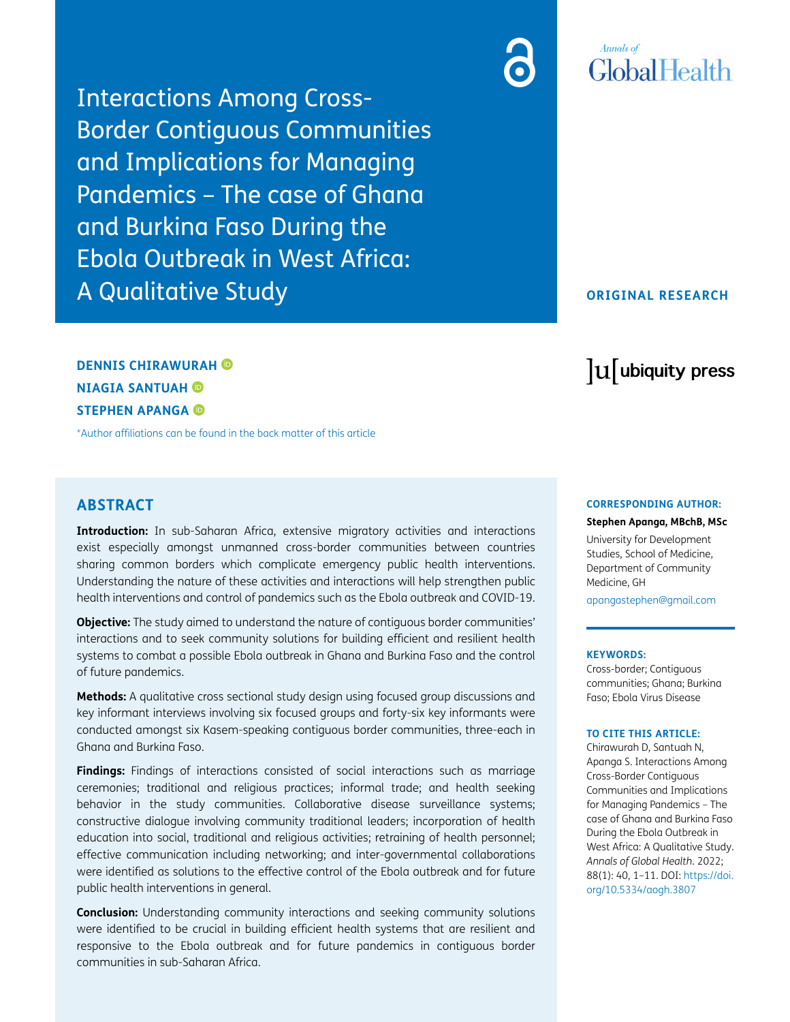Interactions Among Cross-Border Contiguous Communities and Implications for Managing Pandemics – The case of Ghana and Burkina Faso During the Ebola Outbreak in West Africa: A Qualitative Study



## **ORIGINAL RESEARCH**

# **DENNIS CHIRAWURAH NIAGIA SANTUAH STEPHEN APANGA**

[\\*Author affiliations can be found in the back matter of this article](#page-9-0)

# **ABSTRACT**

**Introduction:** In sub-Saharan Africa, extensive migratory activities and interactions exist especially amongst unmanned cross-border communities between countries sharing common borders which complicate emergency public health interventions. Understanding the nature of these activities and interactions will help strengthen public health interventions and control of pandemics such as the Ebola outbreak and COVID-19.

**Objective:** The study aimed to understand the nature of contiguous border communities' interactions and to seek community solutions for building efficient and resilient health systems to combat a possible Ebola outbreak in Ghana and Burkina Faso and the control of future pandemics.

**Methods:** A qualitative cross sectional study design using focused group discussions and key informant interviews involving six focused groups and forty-six key informants were conducted amongst six Kasem-speaking contiguous border communities, three-each in Ghana and Burkina Faso.

**Findings:** Findings of interactions consisted of social interactions such as marriage ceremonies; traditional and religious practices; informal trade; and health seeking behavior in the study communities. Collaborative disease surveillance systems; constructive dialogue involving community traditional leaders; incorporation of health education into social, traditional and religious activities; retraining of health personnel; effective communication including networking; and inter-governmental collaborations were identified as solutions to the effective control of the Ebola outbreak and for future public health interventions in general.

**Conclusion:** Understanding community interactions and seeking community solutions were identified to be crucial in building efficient health systems that are resilient and responsive to the Ebola outbreak and for future pandemics in contiguous border communities in sub-Saharan Africa.

# lu ubiquity press

#### **CORRESPONDING AUTHOR:**

**Stephen Apanga, MBchB, MSc**

University for Development Studies, School of Medicine, Department of Community Medicine, GH

[apangastephen@gmail.com](mailto:apangastephen@gmail.com)

#### **KEYWORDS:**

Cross-border; Contiguous communities; Ghana; Burkina Faso; Ebola Virus Disease

#### **TO CITE THIS ARTICLE:**

Chirawurah D, Santuah N, Apanga S. Interactions Among Cross-Border Contiguous Communities and Implications for Managing Pandemics – The case of Ghana and Burkina Faso During the Ebola Outbreak in West Africa: A Qualitative Study. *Annals of Global Health*. 2022; 88(1): 40, 1–11. DOI: [https://doi.](https://doi.org/10.5334/aogh.3807) [org/10.5334/aogh.3807](https://doi.org/10.5334/aogh.3807)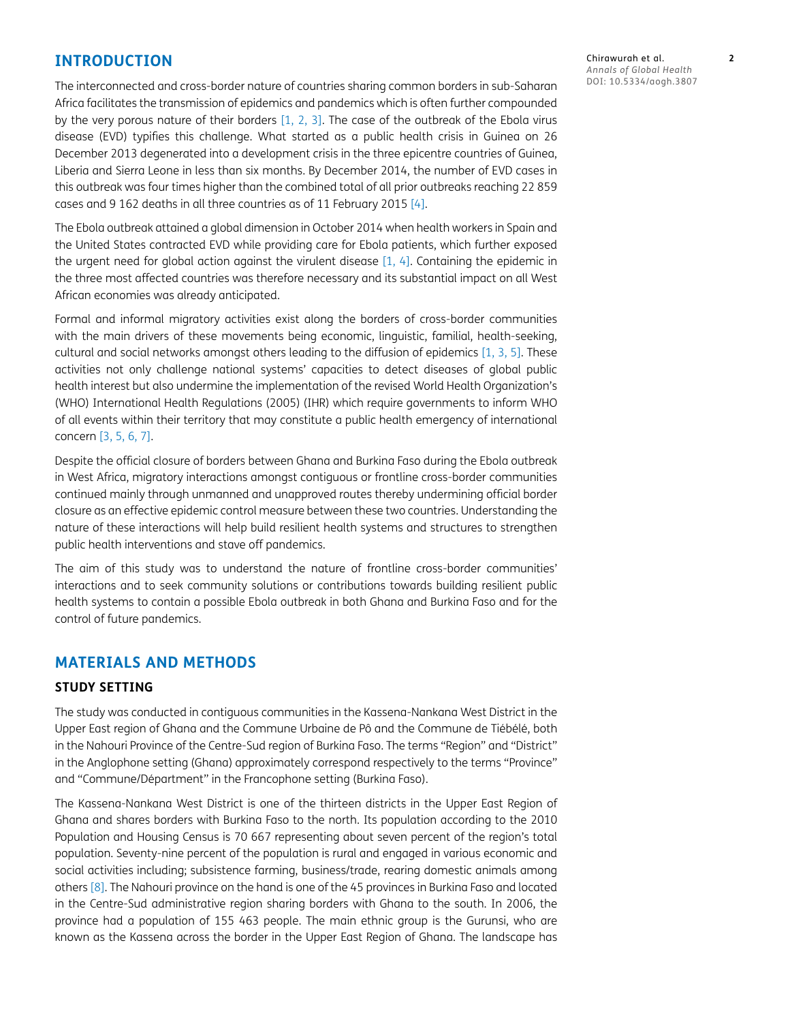# **INTRODUCTION**

The interconnected and cross-border nature of countries sharing common borders in sub-Saharan Africa facilitates the transmission of epidemics and pandemics which is often further compounded by the very porous nature of their borders [[1,](#page-10-0) [2](#page-10-1), [3\]](#page-10-2). The case of the outbreak of the Ebola virus disease (EVD) typifies this challenge. What started as a public health crisis in Guinea on 26 December 2013 degenerated into a development crisis in the three epicentre countries of Guinea, Liberia and Sierra Leone in less than six months. By December 2014, the number of EVD cases in this outbreak was four times higher than the combined total of all prior outbreaks reaching 22 859 cases and 9 162 deaths in all three countries as of 11 February 2015 [\[4](#page-10-3)].

The Ebola outbreak attained a global dimension in October 2014 when health workers in Spain and the United States contracted EVD while providing care for Ebola patients, which further exposed the urgent need for global action against the virulent disease [\[1,](#page-10-0) [4\]](#page-10-3). Containing the epidemic in the three most affected countries was therefore necessary and its substantial impact on all West African economies was already anticipated.

Formal and informal migratory activities exist along the borders of cross-border communities with the main drivers of these movements being economic, linguistic, familial, health-seeking, cultural and social networks amongst others leading to the diffusion of epidemics [\[1](#page-10-0), [3](#page-10-2), [5\]](#page-10-4). These activities not only challenge national systems' capacities to detect diseases of global public health interest but also undermine the implementation of the revised World Health Organization's (WHO) International Health Regulations (2005) (IHR) which require governments to inform WHO of all events within their territory that may constitute a public health emergency of international concern [[3](#page-10-2), [5,](#page-10-4) [6](#page-10-5), [7\]](#page-10-6).

Despite the official closure of borders between Ghana and Burkina Faso during the Ebola outbreak in West Africa, migratory interactions amongst contiguous or frontline cross-border communities continued mainly through unmanned and unapproved routes thereby undermining official border closure as an effective epidemic control measure between these two countries. Understanding the nature of these interactions will help build resilient health systems and structures to strengthen public health interventions and stave off pandemics.

The aim of this study was to understand the nature of frontline cross-border communities' interactions and to seek community solutions or contributions towards building resilient public health systems to contain a possible Ebola outbreak in both Ghana and Burkina Faso and for the control of future pandemics.

# **MATERIALS AND METHODS**

## **STUDY SETTING**

The study was conducted in contiguous communities in the Kassena-Nankana West District in the Upper East region of Ghana and the Commune Urbaine de Pô and the Commune de Tiébélé, both in the Nahouri Province of the Centre-Sud region of Burkina Faso. The terms "Region" and "District" in the Anglophone setting (Ghana) approximately correspond respectively to the terms "Province" and "Commune/Départment" in the Francophone setting (Burkina Faso).

The Kassena-Nankana West District is one of the thirteen districts in the Upper East Region of Ghana and shares borders with Burkina Faso to the north. Its population according to the 2010 Population and Housing Census is 70 667 representing about seven percent of the region's total population. Seventy-nine percent of the population is rural and engaged in various economic and social activities including; subsistence farming, business/trade, rearing domestic animals among others [\[8](#page-10-7)]. The Nahouri province on the hand is one of the 45 provinces in Burkina Faso and located in the Centre-Sud administrative region sharing borders with Ghana to the south. In 2006, the province had a population of 155 463 people. The main ethnic group is the Gurunsi, who are known as the Kassena across the border in the Upper East Region of Ghana. The landscape has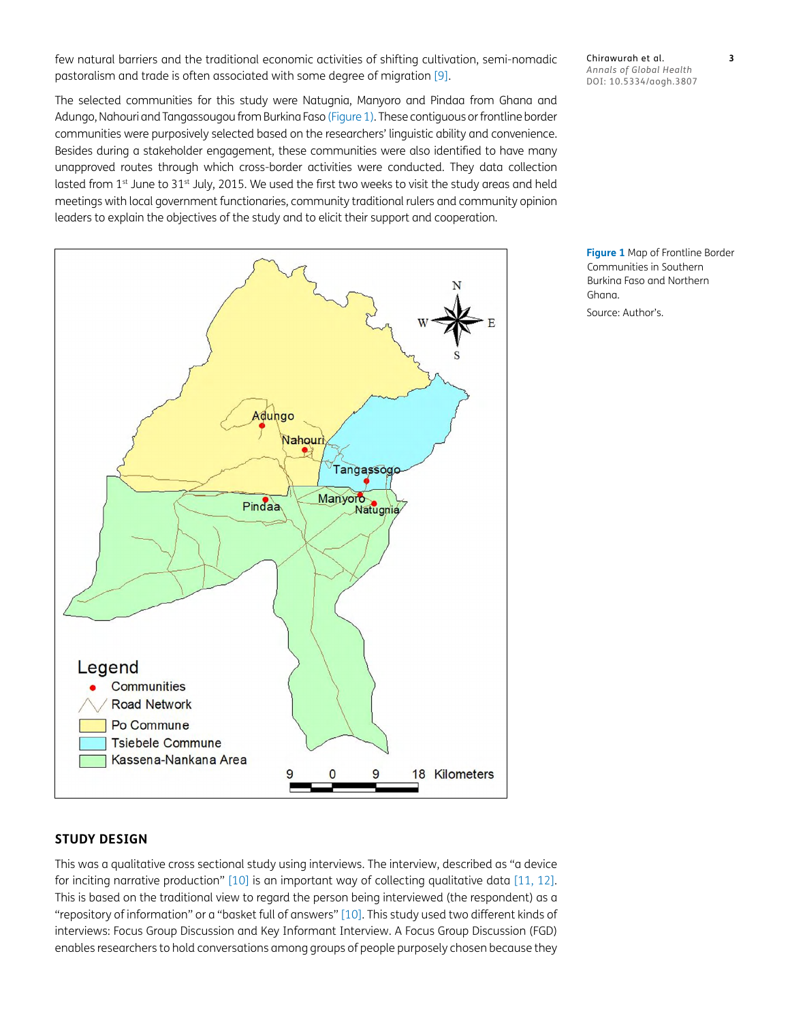few natural barriers and the traditional economic activities of shifting cultivation, semi-nomadic pastoralism and trade is often associated with some degree of migration [\[9\]](#page-10-8).

The selected communities for this study were Natugnia, Manyoro and Pindaa from Ghana and Adungo, Nahouri and Tangassougou from Burkina Faso ([Figure 1\)](#page-2-0). These contiguous or frontline border communities were purposively selected based on the researchers' linguistic ability and convenience. Besides during a stakeholder engagement, these communities were also identified to have many unapproved routes through which cross-border activities were conducted. They data collection lasted from 1st June to 31st July, 2015. We used the first two weeks to visit the study areas and held meetings with local government functionaries, community traditional rulers and community opinion leaders to explain the objectives of the study and to elicit their support and cooperation.



#### Chirawurah et al. **3** *Annals of Global Health* DOI: 10.5334/aogh.3807

<span id="page-2-0"></span>**Figure 1** Map of Frontline Border Communities in Southern Burkina Faso and Northern Ghana.

Source: Author's.

## **STUDY DESIGN**

This was a qualitative cross sectional study using interviews. The interview, described as "a device for inciting narrative production" [[10](#page-10-9)] is an important way of collecting qualitative data [\[11,](#page-10-10) [12\]](#page-10-11). This is based on the traditional view to regard the person being interviewed (the respondent) as a "repository of information" or a "basket full of answers" [\[10\]](#page-10-9). This study used two different kinds of interviews: Focus Group Discussion and Key Informant Interview. A Focus Group Discussion (FGD) enables researchers to hold conversations among groups of people purposely chosen because they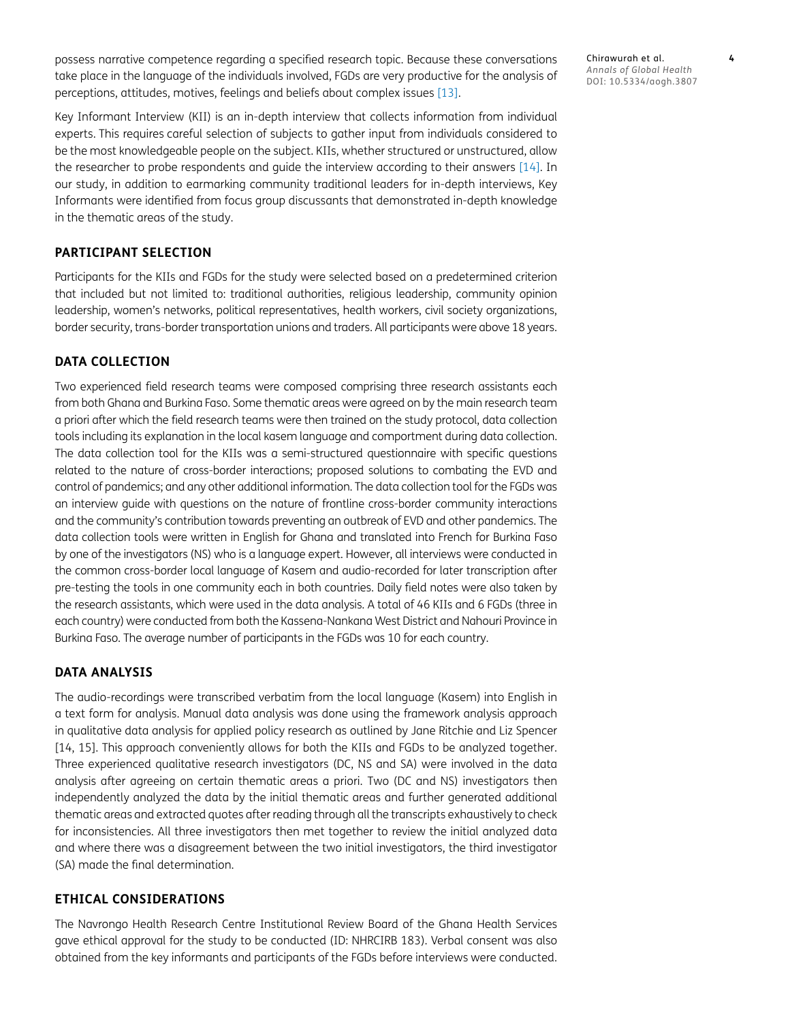possess narrative competence regarding a specified research topic. Because these conversations take place in the language of the individuals involved, FGDs are very productive for the analysis of perceptions, attitudes, motives, feelings and beliefs about complex issues [[13](#page-10-12)].

Key Informant Interview (KII) is an in-depth interview that collects information from individual experts. This requires careful selection of subjects to gather input from individuals considered to be the most knowledgeable people on the subject. KIIs, whether structured or unstructured, allow the researcher to probe respondents and guide the interview according to their answers [\[14\]](#page-10-13). In our study, in addition to earmarking community traditional leaders for in-depth interviews, Key Informants were identified from focus group discussants that demonstrated in-depth knowledge in the thematic areas of the study.

#### **PARTICIPANT SELECTION**

Participants for the KIIs and FGDs for the study were selected based on a predetermined criterion that included but not limited to: traditional authorities, religious leadership, community opinion leadership, women's networks, political representatives, health workers, civil society organizations, border security, trans-border transportation unions and traders. All participants were above 18 years.

## **DATA COLLECTION**

Two experienced field research teams were composed comprising three research assistants each from both Ghana and Burkina Faso. Some thematic areas were agreed on by the main research team a priori after which the field research teams were then trained on the study protocol, data collection tools including its explanation in the local kasem language and comportment during data collection. The data collection tool for the KIIs was a semi-structured questionnaire with specific questions related to the nature of cross-border interactions; proposed solutions to combating the EVD and control of pandemics; and any other additional information. The data collection tool for the FGDs was an interview guide with questions on the nature of frontline cross-border community interactions and the community's contribution towards preventing an outbreak of EVD and other pandemics. The data collection tools were written in English for Ghana and translated into French for Burkina Faso by one of the investigators (NS) who is a language expert. However, all interviews were conducted in the common cross-border local language of Kasem and audio-recorded for later transcription after pre-testing the tools in one community each in both countries. Daily field notes were also taken by the research assistants, which were used in the data analysis. A total of 46 KIIs and 6 FGDs (three in each country) were conducted from both the Kassena-Nankana West District and Nahouri Province in Burkina Faso. The average number of participants in the FGDs was 10 for each country.

#### **DATA ANALYSIS**

The audio-recordings were transcribed verbatim from the local language (Kasem) into English in a text form for analysis. Manual data analysis was done using the framework analysis approach in qualitative data analysis for applied policy research as outlined by Jane Ritchie and Liz Spencer [14, 15]. This approach conveniently allows for both the KIIs and FGDs to be analyzed together. Three experienced qualitative research investigators (DC, NS and SA) were involved in the data analysis after agreeing on certain thematic areas a priori. Two (DC and NS) investigators then independently analyzed the data by the initial thematic areas and further generated additional thematic areas and extracted quotes after reading through all the transcripts exhaustively to check for inconsistencies. All three investigators then met together to review the initial analyzed data and where there was a disagreement between the two initial investigators, the third investigator (SA) made the final determination.

#### **ETHICAL CONSIDERATIONS**

The Navrongo Health Research Centre Institutional Review Board of the Ghana Health Services gave ethical approval for the study to be conducted (ID: NHRCIRB 183). Verbal consent was also obtained from the key informants and participants of the FGDs before interviews were conducted.

Chirawurah et al. **4** *Annals of Global Health* DOI: 10.5334/aogh.3807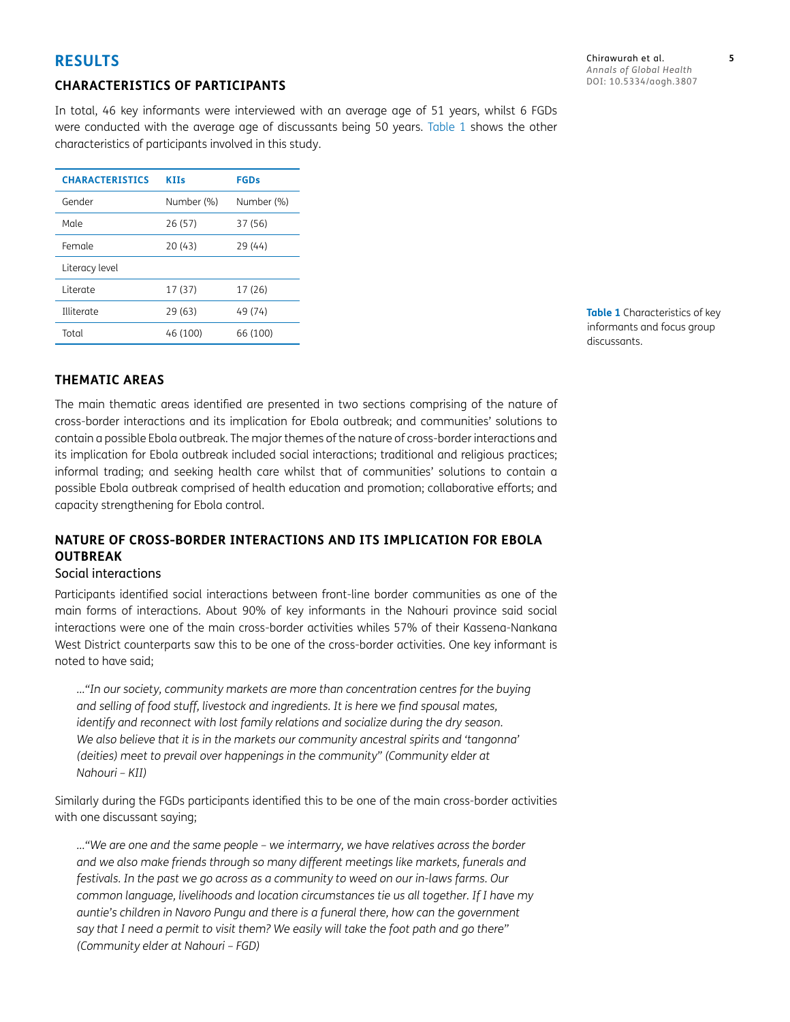# **RESULTS**

## **CHARACTERISTICS OF PARTICIPANTS**

In total, 46 key informants were interviewed with an average age of 51 years, whilst 6 FGDs were conducted with the average age of discussants being 50 years. [Table 1](#page-4-0) shows the other characteristics of participants involved in this study.

| <b>CHARACTERISTICS</b> | <b>KIIs</b> | <b>FGDs</b> |
|------------------------|-------------|-------------|
| Gender                 | Number (%)  | Number (%)  |
| Male                   | 26 (57)     | 37 (56)     |
| Female                 | 20(43)      | 29(44)      |
| Literacy level         |             |             |
| l iterate              | 17(37)      | 17 (26)     |
| Illiterate             | 29 (63)     | 49 (74)     |
| Total                  | 46 (100)    | 66 (100)    |

<span id="page-4-0"></span>**Table 1** Characteristics of key informants and focus group discussants.

## **THEMATIC AREAS**

The main thematic areas identified are presented in two sections comprising of the nature of cross-border interactions and its implication for Ebola outbreak; and communities' solutions to contain a possible Ebola outbreak. The major themes of the nature of cross-border interactions and its implication for Ebola outbreak included social interactions; traditional and religious practices; informal trading; and seeking health care whilst that of communities' solutions to contain a possible Ebola outbreak comprised of health education and promotion; collaborative efforts; and capacity strengthening for Ebola control.

# **NATURE OF CROSS-BORDER INTERACTIONS AND ITS IMPLICATION FOR EBOLA OUTBREAK**

### Social interactions

Participants identified social interactions between front-line border communities as one of the main forms of interactions. About 90% of key informants in the Nahouri province said social interactions were one of the main cross-border activities whiles 57% of their Kassena-Nankana West District counterparts saw this to be one of the cross-border activities. One key informant is noted to have said;

*…"In our society, community markets are more than concentration centres for the buying and selling of food stuff, livestock and ingredients. It is here we find spousal mates, identify and reconnect with lost family relations and socialize during the dry season. We also believe that it is in the markets our community ancestral spirits and 'tangonna' (deities) meet to prevail over happenings in the community" (Community elder at Nahouri – KII)*

Similarly during the FGDs participants identified this to be one of the main cross-border activities with one discussant saying;

*…"We are one and the same people – we intermarry, we have relatives across the border and we also make friends through so many different meetings like markets, funerals and festivals. In the past we go across as a community to weed on our in-laws farms. Our common language, livelihoods and location circumstances tie us all together. If I have my auntie's children in Navoro Pungu and there is a funeral there, how can the government say that I need a permit to visit them? We easily will take the foot path and go there" (Community elder at Nahouri – FGD)*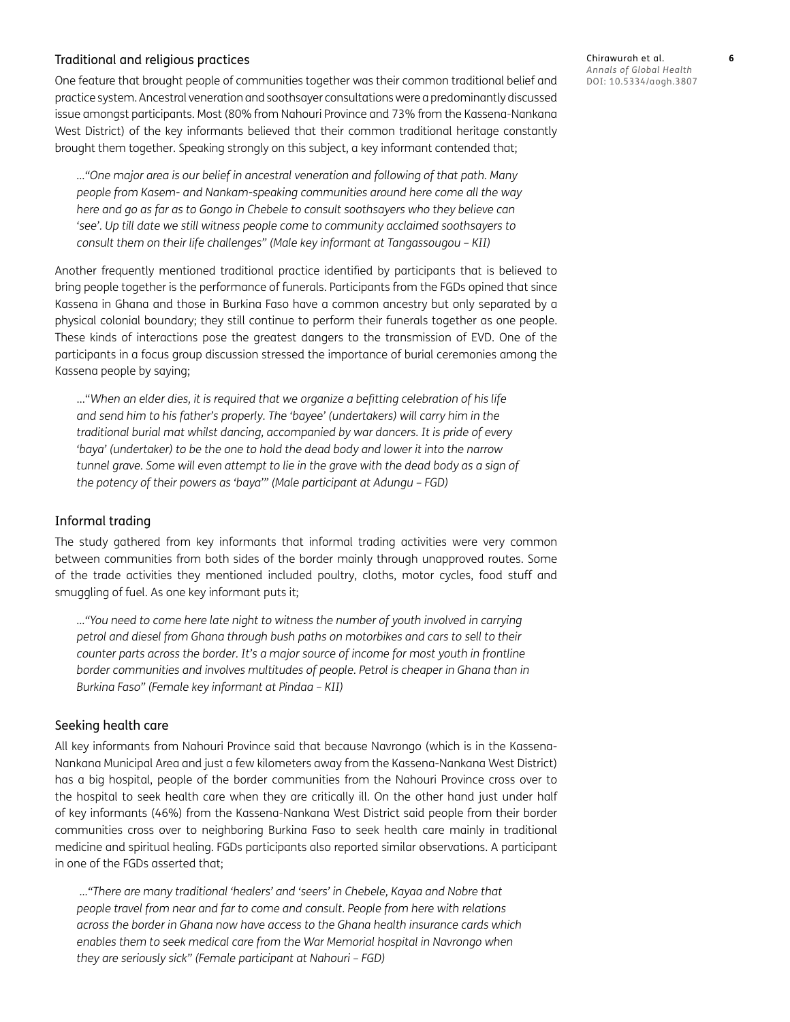## Traditional and religious practices

One feature that brought people of communities together was their common traditional belief and practice system. Ancestral veneration and soothsayer consultations were a predominantly discussed issue amongst participants. Most (80% from Nahouri Province and 73% from the Kassena-Nankana West District) of the key informants believed that their common traditional heritage constantly brought them together. Speaking strongly on this subject, a key informant contended that;

*…"One major area is our belief in ancestral veneration and following of that path. Many people from Kasem- and Nankam-speaking communities around here come all the way here and go as far as to Gongo in Chebele to consult soothsayers who they believe can 'see'. Up till date we still witness people come to community acclaimed soothsayers to consult them on their life challenges" (Male key informant at Tangassougou – KII)*

Another frequently mentioned traditional practice identified by participants that is believed to bring people together is the performance of funerals. Participants from the FGDs opined that since Kassena in Ghana and those in Burkina Faso have a common ancestry but only separated by a physical colonial boundary; they still continue to perform their funerals together as one people. These kinds of interactions pose the greatest dangers to the transmission of EVD. One of the participants in a focus group discussion stressed the importance of burial ceremonies among the Kassena people by saying;

…"*When an elder dies, it is required that we organize a befitting celebration of his life and send him to his father's properly. The 'bayee' (undertakers) will carry him in the traditional burial mat whilst dancing, accompanied by war dancers. It is pride of every 'baya' (undertaker) to be the one to hold the dead body and lower it into the narrow tunnel grave. Some will even attempt to lie in the grave with the dead body as a sign of the potency of their powers as 'baya'" (Male participant at Adungu – FGD)*

#### Informal trading

The study gathered from key informants that informal trading activities were very common between communities from both sides of the border mainly through unapproved routes. Some of the trade activities they mentioned included poultry, cloths, motor cycles, food stuff and smuggling of fuel. As one key informant puts it;

*…"You need to come here late night to witness the number of youth involved in carrying petrol and diesel from Ghana through bush paths on motorbikes and cars to sell to their counter parts across the border. It's a major source of income for most youth in frontline border communities and involves multitudes of people. Petrol is cheaper in Ghana than in Burkina Faso" (Female key informant at Pindaa – KII)*

#### Seeking health care

All key informants from Nahouri Province said that because Navrongo (which is in the Kassena-Nankana Municipal Area and just a few kilometers away from the Kassena-Nankana West District) has a big hospital, people of the border communities from the Nahouri Province cross over to the hospital to seek health care when they are critically ill. On the other hand just under half of key informants (46%) from the Kassena-Nankana West District said people from their border communities cross over to neighboring Burkina Faso to seek health care mainly in traditional medicine and spiritual healing. FGDs participants also reported similar observations. A participant in one of the FGDs asserted that;

 *…"There are many traditional 'healers' and 'seers' in Chebele, Kayaa and Nobre that people travel from near and far to come and consult. People from here with relations across the border in Ghana now have access to the Ghana health insurance cards which enables them to seek medical care from the War Memorial hospital in Navrongo when they are seriously sick" (Female participant at Nahouri – FGD)*

Chirawurah et al. **6** *Annals of Global Health* DOI: 10.5334/aogh.3807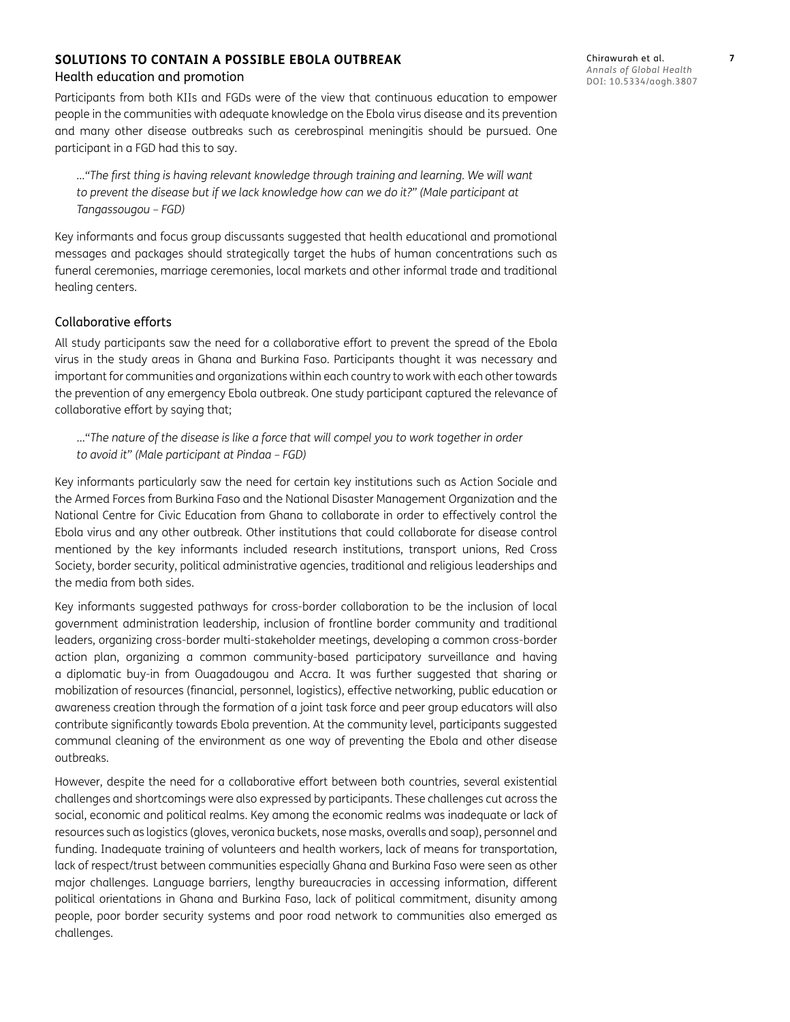# **SOLUTIONS TO CONTAIN A POSSIBLE EBOLA OUTBREAK**

## Health education and promotion

Participants from both KIIs and FGDs were of the view that continuous education to empower people in the communities with adequate knowledge on the Ebola virus disease and its prevention and many other disease outbreaks such as cerebrospinal meningitis should be pursued. One participant in a FGD had this to say.

*…"The first thing is having relevant knowledge through training and learning. We will want to prevent the disease but if we lack knowledge how can we do it?" (Male participant at Tangassougou – FGD)*

Key informants and focus group discussants suggested that health educational and promotional messages and packages should strategically target the hubs of human concentrations such as funeral ceremonies, marriage ceremonies, local markets and other informal trade and traditional healing centers.

## Collaborative efforts

All study participants saw the need for a collaborative effort to prevent the spread of the Ebola virus in the study areas in Ghana and Burkina Faso. Participants thought it was necessary and important for communities and organizations within each country to work with each other towards the prevention of any emergency Ebola outbreak. One study participant captured the relevance of collaborative effort by saying that;

…"*The nature of the disease is like a force that will compel you to work together in order to avoid it" (Male participant at Pindaa – FGD)*

Key informants particularly saw the need for certain key institutions such as Action Sociale and the Armed Forces from Burkina Faso and the National Disaster Management Organization and the National Centre for Civic Education from Ghana to collaborate in order to effectively control the Ebola virus and any other outbreak. Other institutions that could collaborate for disease control mentioned by the key informants included research institutions, transport unions, Red Cross Society, border security, political administrative agencies, traditional and religious leaderships and the media from both sides.

Key informants suggested pathways for cross-border collaboration to be the inclusion of local government administration leadership, inclusion of frontline border community and traditional leaders, organizing cross-border multi-stakeholder meetings, developing a common cross-border action plan, organizing a common community-based participatory surveillance and having a diplomatic buy-in from Ouagadougou and Accra. It was further suggested that sharing or mobilization of resources (financial, personnel, logistics), effective networking, public education or awareness creation through the formation of a joint task force and peer group educators will also contribute significantly towards Ebola prevention. At the community level, participants suggested communal cleaning of the environment as one way of preventing the Ebola and other disease outbreaks.

However, despite the need for a collaborative effort between both countries, several existential challenges and shortcomings were also expressed by participants. These challenges cut across the social, economic and political realms. Key among the economic realms was inadequate or lack of resources such as logistics (gloves, veronica buckets, nose masks, overalls and soap), personnel and funding. Inadequate training of volunteers and health workers, lack of means for transportation, lack of respect/trust between communities especially Ghana and Burkina Faso were seen as other major challenges. Language barriers, lengthy bureaucracies in accessing information, different political orientations in Ghana and Burkina Faso, lack of political commitment, disunity among people, poor border security systems and poor road network to communities also emerged as challenges.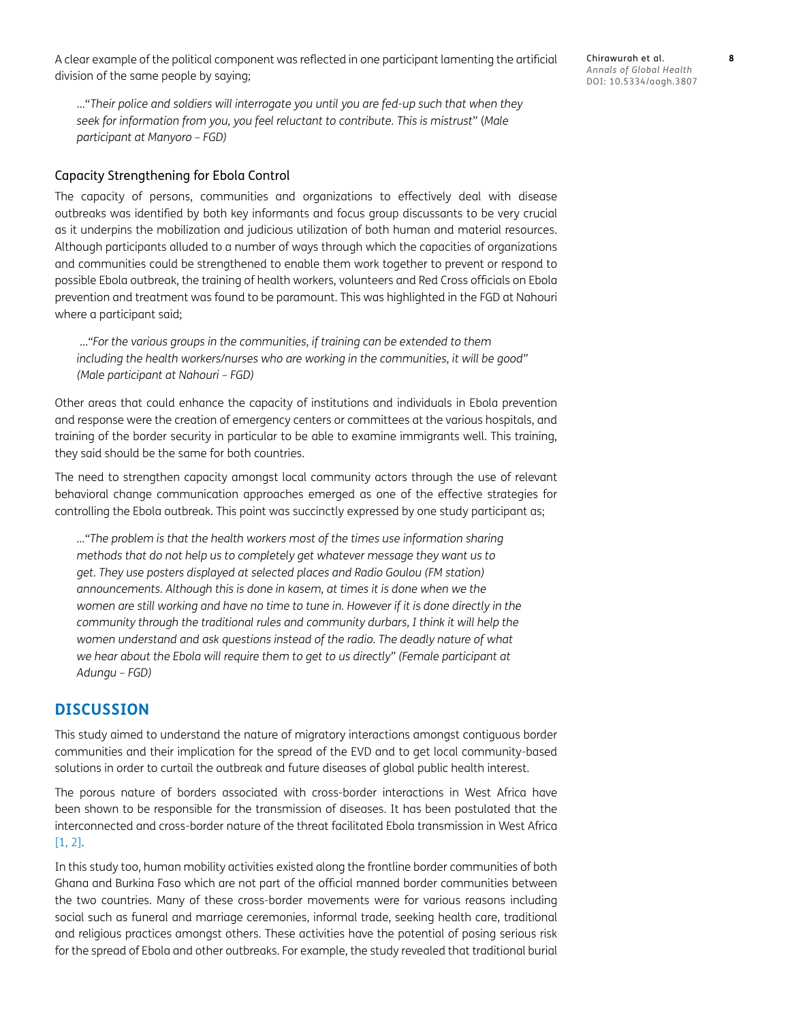A clear example of the political component was reflected in one participant lamenting the artificial division of the same people by saying;

…"*Their police and soldiers will interrogate you until you are fed-up such that when they seek for information from you, you feel reluctant to contribute. This is mistrust*" (*Male participant at Manyoro – FGD)*

#### Capacity Strengthening for Ebola Control

The capacity of persons, communities and organizations to effectively deal with disease outbreaks was identified by both key informants and focus group discussants to be very crucial as it underpins the mobilization and judicious utilization of both human and material resources. Although participants alluded to a number of ways through which the capacities of organizations and communities could be strengthened to enable them work together to prevent or respond to possible Ebola outbreak, the training of health workers, volunteers and Red Cross officials on Ebola prevention and treatment was found to be paramount. This was highlighted in the FGD at Nahouri where a participant said;

 …*"For the various groups in the communities, if training can be extended to them including the health workers/nurses who are working in the communities, it will be good" (Male participant at Nahouri – FGD)*

Other areas that could enhance the capacity of institutions and individuals in Ebola prevention and response were the creation of emergency centers or committees at the various hospitals, and training of the border security in particular to be able to examine immigrants well. This training, they said should be the same for both countries.

The need to strengthen capacity amongst local community actors through the use of relevant behavioral change communication approaches emerged as one of the effective strategies for controlling the Ebola outbreak. This point was succinctly expressed by one study participant as;

*…"The problem is that the health workers most of the times use information sharing methods that do not help us to completely get whatever message they want us to get. They use posters displayed at selected places and Radio Goulou (FM station) announcements. Although this is done in kasem, at times it is done when we the women are still working and have no time to tune in. However if it is done directly in the community through the traditional rules and community durbars, I think it will help the women understand and ask questions instead of the radio. The deadly nature of what we hear about the Ebola will require them to get to us directly" (Female participant at Adungu – FGD)*

## **DISCUSSION**

This study aimed to understand the nature of migratory interactions amongst contiguous border communities and their implication for the spread of the EVD and to get local community-based solutions in order to curtail the outbreak and future diseases of global public health interest.

The porous nature of borders associated with cross-border interactions in West Africa have been shown to be responsible for the transmission of diseases. It has been postulated that the interconnected and cross-border nature of the threat facilitated Ebola transmission in West Africa [\[1,](#page-10-0) [2](#page-10-1)].

In this study too, human mobility activities existed along the frontline border communities of both Ghana and Burkina Faso which are not part of the official manned border communities between the two countries. Many of these cross-border movements were for various reasons including social such as funeral and marriage ceremonies, informal trade, seeking health care, traditional and religious practices amongst others. These activities have the potential of posing serious risk for the spread of Ebola and other outbreaks. For example, the study revealed that traditional burial

Chirawurah et al. **8** *Annals of Global Health* DOI: 10.5334/aogh.3807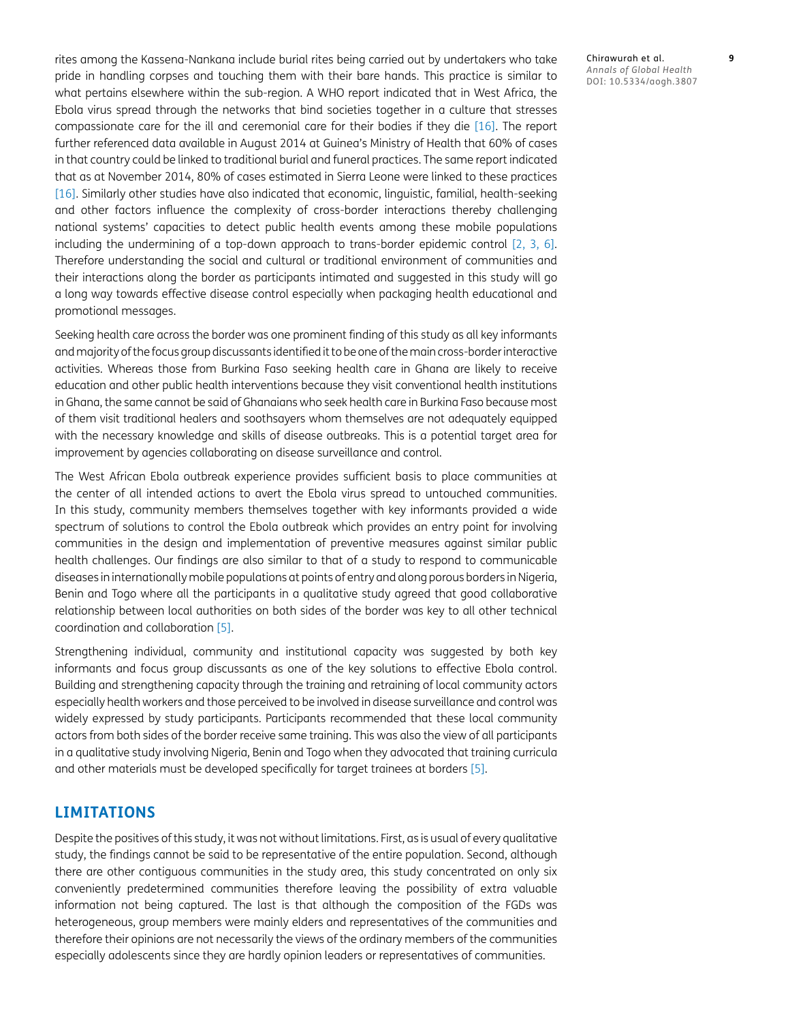rites among the Kassena-Nankana include burial rites being carried out by undertakers who take pride in handling corpses and touching them with their bare hands. This practice is similar to what pertains elsewhere within the sub-region. A WHO report indicated that in West Africa, the Ebola virus spread through the networks that bind societies together in a culture that stresses compassionate care for the ill and ceremonial care for their bodies if they die [[16](#page-10-14)]. The report further referenced data available in August 2014 at Guinea's Ministry of Health that 60% of cases in that country could be linked to traditional burial and funeral practices. The same report indicated that as at November 2014, 80% of cases estimated in Sierra Leone were linked to these practices [\[16\]](#page-10-14). Similarly other studies have also indicated that economic, linguistic, familial, health-seeking and other factors influence the complexity of cross-border interactions thereby challenging national systems' capacities to detect public health events among these mobile populations including the undermining of a top-down approach to trans-border epidemic control [[2](#page-10-1), [3](#page-10-2), [6\]](#page-10-5). Therefore understanding the social and cultural or traditional environment of communities and their interactions along the border as participants intimated and suggested in this study will go a long way towards effective disease control especially when packaging health educational and promotional messages.

Seeking health care across the border was one prominent finding of this study as all key informants and majority of the focus group discussants identified it to be one of the main cross-border interactive activities. Whereas those from Burkina Faso seeking health care in Ghana are likely to receive education and other public health interventions because they visit conventional health institutions in Ghana, the same cannot be said of Ghanaians who seek health care in Burkina Faso because most of them visit traditional healers and soothsayers whom themselves are not adequately equipped with the necessary knowledge and skills of disease outbreaks. This is a potential target area for improvement by agencies collaborating on disease surveillance and control.

The West African Ebola outbreak experience provides sufficient basis to place communities at the center of all intended actions to avert the Ebola virus spread to untouched communities. In this study, community members themselves together with key informants provided a wide spectrum of solutions to control the Ebola outbreak which provides an entry point for involving communities in the design and implementation of preventive measures against similar public health challenges. Our findings are also similar to that of a study to respond to communicable diseases in internationally mobile populations at points of entry and along porous borders in Nigeria, Benin and Togo where all the participants in a qualitative study agreed that good collaborative relationship between local authorities on both sides of the border was key to all other technical coordination and collaboration [[5](#page-10-4)].

Strengthening individual, community and institutional capacity was suggested by both key informants and focus group discussants as one of the key solutions to effective Ebola control. Building and strengthening capacity through the training and retraining of local community actors especially health workers and those perceived to be involved in disease surveillance and control was widely expressed by study participants. Participants recommended that these local community actors from both sides of the border receive same training. This was also the view of all participants in a qualitative study involving Nigeria, Benin and Togo when they advocated that training curricula and other materials must be developed specifically for target trainees at borders [[5\]](#page-10-4).

## **LIMITATIONS**

Despite the positives of this study, it was not without limitations. First, as is usual of every qualitative study, the findings cannot be said to be representative of the entire population. Second, although there are other contiguous communities in the study area, this study concentrated on only six conveniently predetermined communities therefore leaving the possibility of extra valuable information not being captured. The last is that although the composition of the FGDs was heterogeneous, group members were mainly elders and representatives of the communities and therefore their opinions are not necessarily the views of the ordinary members of the communities especially adolescents since they are hardly opinion leaders or representatives of communities.

Chirawurah et al. **9** *Annals of Global Health* DOI: 10.5334/aogh.3807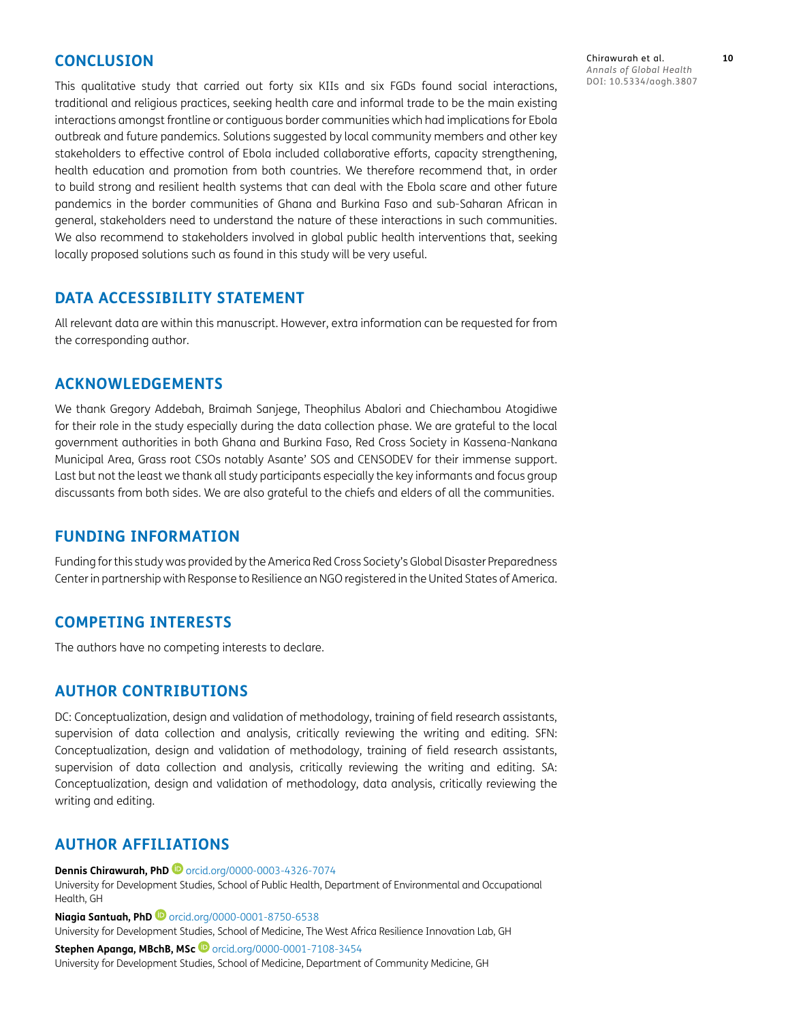# **CONCLUSION**

This qualitative study that carried out forty six KIIs and six FGDs found social interactions, traditional and religious practices, seeking health care and informal trade to be the main existing interactions amongst frontline or contiguous border communities which had implications for Ebola outbreak and future pandemics. Solutions suggested by local community members and other key stakeholders to effective control of Ebola included collaborative efforts, capacity strengthening, health education and promotion from both countries. We therefore recommend that, in order to build strong and resilient health systems that can deal with the Ebola scare and other future pandemics in the border communities of Ghana and Burkina Faso and sub-Saharan African in general, stakeholders need to understand the nature of these interactions in such communities. We also recommend to stakeholders involved in global public health interventions that, seeking locally proposed solutions such as found in this study will be very useful.

# **DATA ACCESSIBILITY STATEMENT**

All relevant data are within this manuscript. However, extra information can be requested for from the corresponding author.

# **ACKNOWLEDGEMENTS**

We thank Gregory Addebah, Braimah Sanjege, Theophilus Abalori and Chiechambou Atogidiwe for their role in the study especially during the data collection phase. We are grateful to the local government authorities in both Ghana and Burkina Faso, Red Cross Society in Kassena-Nankana Municipal Area, Grass root CSOs notably Asante' SOS and CENSODEV for their immense support. Last but not the least we thank all study participants especially the key informants and focus group discussants from both sides. We are also grateful to the chiefs and elders of all the communities.

## **FUNDING INFORMATION**

Funding for this study was provided by the America Red Cross Society's Global Disaster Preparedness Center in partnership with Response to Resilience an NGO registered in the United States of America.

# **COMPETING INTERESTS**

The authors have no competing interests to declare.

## **AUTHOR CONTRIBUTIONS**

DC: Conceptualization, design and validation of methodology, training of field research assistants, supervision of data collection and analysis, critically reviewing the writing and editing. SFN: Conceptualization, design and validation of methodology, training of field research assistants, supervision of data collection and analysis, critically reviewing the writing and editing. SA: Conceptualization, design and validation of methodology, data analysis, critically reviewing the writing and editing.

# <span id="page-9-0"></span>**AUTHOR AFFILIATIONS**

**Dennis Chirawurah, PhD**[orcid.org/0000-0003-4326-7074](https://orcid.org/0000-0003-4326-7074)

University for Development Studies, School of Public Health, Department of Environmental and Occupational Health, GH

**Niagia Santuah, PhD**[orcid.org/0000-0001-8750-6538](https://orcid.org/0000-0001-8750-6538)

University for Development Studies, School of Medicine, The West Africa Resilience Innovation Lab, GH

**Stephen Apanga, MBchB, MSc iD** [orcid.org/0000-0001-7108-3454](https://orcid.org/0000-0001-7108-3454) University for Development Studies, School of Medicine, Department of Community Medicine, GH